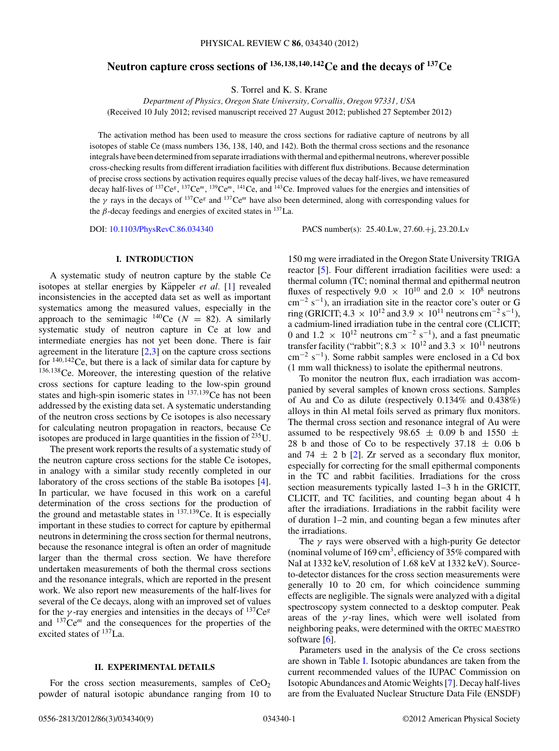# **Neutron capture cross sections of <sup>136</sup>***,***138***,***140***,***142Ce and the decays of 137Ce**

S. Torrel and K. S. Krane

*Department of Physics, Oregon State University, Corvallis, Oregon 97331, USA* (Received 10 July 2012; revised manuscript received 27 August 2012; published 27 September 2012)

The activation method has been used to measure the cross sections for radiative capture of neutrons by all isotopes of stable Ce (mass numbers 136, 138, 140, and 142). Both the thermal cross sections and the resonance integrals have been determined from separate irradiations with thermal and epithermal neutrons, wherever possible cross-checking results from different irradiation facilities with different flux distributions. Because determination of precise cross sections by activation requires equally precise values of the decay half-lives, we have remeasured decay half-lives of <sup>137</sup>Ce<sup>g</sup>, <sup>137</sup>Ce<sup>m</sup>, <sup>139</sup>Ce<sup>m</sup>, <sup>141</sup>Ce, and <sup>143</sup>Ce. Improved values for the energies and intensities of the *γ* rays in the decays of 137Ce*<sup>g</sup>* and 137Ce*<sup>m</sup>* have also been determined, along with corresponding values for the  $\beta$ -decay feedings and energies of excited states in  $^{137}$ La.

DOI: [10.1103/PhysRevC.86.034340](http://dx.doi.org/10.1103/PhysRevC.86.034340) PACS number(s): 25*.*40*.*Lw, 27*.*60*.*+j, 23*.*20*.*Lv

## **I. INTRODUCTION**

A systematic study of neutron capture by the stable Ce isotopes at stellar energies by Käppeler et al. [\[1\]](#page-7-0) revealed inconsistencies in the accepted data set as well as important systematics among the measured values, especially in the approach to the semimagic <sup>140</sup>Ce ( $N = 82$ ). A similarly systematic study of neutron capture in Ce at low and intermediate energies has not yet been done. There is fair agreement in the literature  $[2,3]$  on the capture cross sections for <sup>140</sup>*,*142Ce, but there is a lack of similar data for capture by <sup>136</sup>*,*138Ce. Moreover, the interesting question of the relative cross sections for capture leading to the low-spin ground states and high-spin isomeric states in <sup>137</sup>*,*139Ce has not been addressed by the existing data set. A systematic understanding of the neutron cross sections by Ce isotopes is also necessary for calculating neutron propagation in reactors, because Ce isotopes are produced in large quantities in the fission of  $^{235}$ U.

The present work reports the results of a systematic study of the neutron capture cross sections for the stable Ce isotopes, in analogy with a similar study recently completed in our laboratory of the cross sections of the stable Ba isotopes [\[4\]](#page-7-0). In particular, we have focused in this work on a careful determination of the cross sections for the production of the ground and metastable states in <sup>137</sup>*,*139Ce. It is especially important in these studies to correct for capture by epithermal neutrons in determining the cross section for thermal neutrons, because the resonance integral is often an order of magnitude larger than the thermal cross section. We have therefore undertaken measurements of both the thermal cross sections and the resonance integrals, which are reported in the present work. We also report new measurements of the half-lives for several of the Ce decays, along with an improved set of values for the *γ*-ray energies and intensities in the decays of  $^{137}Ce^{g}$ and 137Ce*<sup>m</sup>* and the consequences for the properties of the excited states of  $^{137}$ La.

## **II. EXPERIMENTAL DETAILS**

For the cross section measurements, samples of  $CeO<sub>2</sub>$ powder of natural isotopic abundance ranging from 10 to

150 mg were irradiated in the Oregon State University TRIGA reactor [\[5\]](#page-7-0). Four different irradiation facilities were used: a thermal column (TC; nominal thermal and epithermal neutron fluxes of respectively 9.0  $\times$  10<sup>10</sup> and 2.0  $\times$  10<sup>8</sup> neutrons  $\text{cm}^{-2} \text{ s}^{-1}$ ), an irradiation site in the reactor core's outer or G ring (GRICIT; 4.3  $\times$  10<sup>12</sup> and 3.9  $\times$  10<sup>11</sup> neutrons cm<sup>-2</sup> s<sup>-1</sup>), a cadmium-lined irradiation tube in the central core (CLICIT; 0 and  $1.2 \times 10^{12}$  neutrons cm<sup>-2</sup> s<sup>-1</sup>), and a fast pneumatic transfer facility ("rabbit"; 8.3  $\times$  10<sup>12</sup> and 3.3  $\times$  10<sup>11</sup> neutrons cm−<sup>2</sup> s−1). Some rabbit samples were enclosed in a Cd box (1 mm wall thickness) to isolate the epithermal neutrons.

To monitor the neutron flux, each irradiation was accompanied by several samples of known cross sections. Samples of Au and Co as dilute (respectively 0.134% and 0.438%) alloys in thin Al metal foils served as primary flux monitors. The thermal cross section and resonance integral of Au were assumed to be respectively 98.65  $\pm$  0.09 b and 1550  $\pm$ 28 b and those of Co to be respectively  $37.18 \pm 0.06$  b and 74  $\pm$  2 b [\[2\]](#page-7-0). Zr served as a secondary flux monitor, especially for correcting for the small epithermal components in the TC and rabbit facilities. Irradiations for the cross section measurements typically lasted 1–3 h in the GRICIT, CLICIT, and TC facilities, and counting began about 4 h after the irradiations. Irradiations in the rabbit facility were of duration 1–2 min, and counting began a few minutes after the irradiations.

The *γ* rays were observed with a high-purity Ge detector (nominal volume of  $169 \text{ cm}^3$ , efficiency of  $35\%$  compared with NaI at 1332 keV, resolution of 1.68 keV at 1332 keV). Sourceto-detector distances for the cross section measurements were generally 10 to 20 cm, for which coincidence summing effects are negligible. The signals were analyzed with a digital spectroscopy system connected to a desktop computer. Peak areas of the  $\gamma$ -ray lines, which were well isolated from neighboring peaks, were determined with the ORTEC MAESTRO software [\[6\]](#page-7-0).

Parameters used in the analysis of the Ce cross sections are shown in Table [I.](#page-1-0) Isotopic abundances are taken from the current recommended values of the IUPAC Commission on Isotopic Abundances and AtomicWeights [\[7\]](#page-7-0). Decay half-lives are from the Evaluated Nuclear Structure Data File (ENSDF)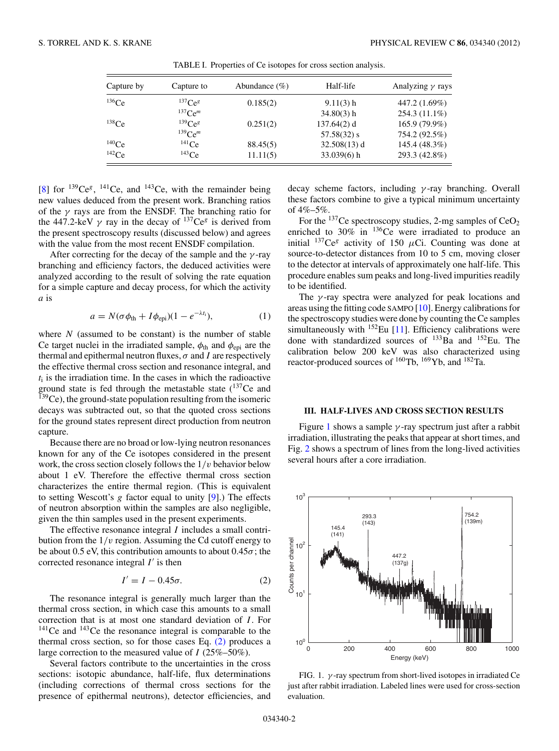<span id="page-1-0"></span>

| Capture by  | Capture to            | Abundance $(\%)$ | Half-life      | Analyzing $\gamma$ rays |
|-------------|-----------------------|------------------|----------------|-------------------------|
| $136$ Ce    | $^{137}Ce^{g}$        | 0.185(2)         | $9.11(3)$ h    | 447.2 (1.69%)           |
|             | $137$ Ce <sup>m</sup> |                  | $34.80(3)$ h   | 254.3 (11.1%)           |
| $^{138}$ Ce | $^{139}Ce^{g}$        | 0.251(2)         | $137.64(2)$ d  | 165.9 (79.9%)           |
|             | $^{139}Ce^m$          |                  | $57.58(32)$ s  | 754.2 (92.5%)           |
| $140$ Ce    | $^{141}$ Ce           | 88.45(5)         | $32.508(13)$ d | 145.4 (48.3%)           |
| $142$ Ce    | $^{143}$ Ce           | 11.11(5)         | $33.039(6)$ h  | 293.3 (42.8%)           |

TABLE I. Properties of Ce isotopes for cross section analysis.

[\[8\]](#page-7-0) for  $^{139}Ce^{g}$ ,  $^{141}Ce$ , and  $^{143}Ce$ , with the remainder being new values deduced from the present work. Branching ratios of the *γ* rays are from the ENSDF. The branching ratio for the 447.2-keV  $\gamma$  ray in the decay of <sup>137</sup>Ce<sup>g</sup> is derived from the present spectroscopy results (discussed below) and agrees with the value from the most recent ENSDF compilation.

After correcting for the decay of the sample and the *γ* -ray branching and efficiency factors, the deduced activities were analyzed according to the result of solving the rate equation for a simple capture and decay process, for which the activity *a* is

$$
a = N(\sigma \phi_{\text{th}} + I\phi_{\text{epi}})(1 - e^{-\lambda t_i}), \qquad (1)
$$

where  $N$  (assumed to be constant) is the number of stable Ce target nuclei in the irradiated sample,  $\phi_{th}$  and  $\phi_{eni}$  are the thermal and epithermal neutron fluxes,  $\sigma$  and *I* are respectively the effective thermal cross section and resonance integral, and  $t_i$  is the irradiation time. In the cases in which the radioactive ground state is fed through the metastable state  $(^{137}Ce$  and  $139$ Ce), the ground-state population resulting from the isomeric decays was subtracted out, so that the quoted cross sections for the ground states represent direct production from neutron capture.

Because there are no broad or low-lying neutron resonances known for any of the Ce isotopes considered in the present work, the cross section closely follows the 1*/v* behavior below about 1 eV. Therefore the effective thermal cross section characterizes the entire thermal region. (This is equivalent to setting Wescott's *g* factor equal to unity [\[9\]](#page-7-0).) The effects of neutron absorption within the samples are also negligible, given the thin samples used in the present experiments.

The effective resonance integral *I* includes a small contribution from the 1*/v* region. Assuming the Cd cutoff energy to be about 0.5 eV, this contribution amounts to about  $0.45\sigma$ ; the corrected resonance integral  $I'$  is then

$$
I' = I - 0.45\sigma.
$$
 (2)

The resonance integral is generally much larger than the thermal cross section, in which case this amounts to a small correction that is at most one standard deviation of *I* . For  $141$ Ce and  $143$ Ce the resonance integral is comparable to the thermal cross section, so for those cases Eq. (2) produces a large correction to the measured value of *I* (25%–50%).

Several factors contribute to the uncertainties in the cross sections: isotopic abundance, half-life, flux determinations (including corrections of thermal cross sections for the presence of epithermal neutrons), detector efficiencies, and

decay scheme factors, including *γ* -ray branching. Overall these factors combine to give a typical minimum uncertainty of  $4\% - 5\%$ .

For the  $137$ Ce spectroscopy studies, 2-mg samples of CeO<sub>2</sub> enriched to  $30\%$  in  $136$ Ce were irradiated to produce an initial  $^{137}Ce^g$  activity of 150  $\mu$ Ci. Counting was done at source-to-detector distances from 10 to 5 cm, moving closer to the detector at intervals of approximately one half-life. This procedure enables sum peaks and long-lived impurities readily to be identified.

The *γ* -ray spectra were analyzed for peak locations and areas using the fitting code SAMPO [\[10\]](#page-7-0). Energy calibrations for the spectroscopy studies were done by counting the Ce samples simultaneously with  $152$  Eu [\[11\]](#page-7-0). Efficiency calibrations were done with standardized sources of <sup>133</sup>Ba and <sup>152</sup>Eu. The calibration below 200 keV was also characterized using reactor-produced sources of 160Tb, 169Yb, and 182Ta.

## **III. HALF-LIVES AND CROSS SECTION RESULTS**

Figure 1 shows a sample *γ* -ray spectrum just after a rabbit irradiation, illustrating the peaks that appear at short times, and Fig. [2](#page-2-0) shows a spectrum of lines from the long-lived activities several hours after a core irradiation.



FIG. 1. *γ* -ray spectrum from short-lived isotopes in irradiated Ce just after rabbit irradiation. Labeled lines were used for cross-section evaluation.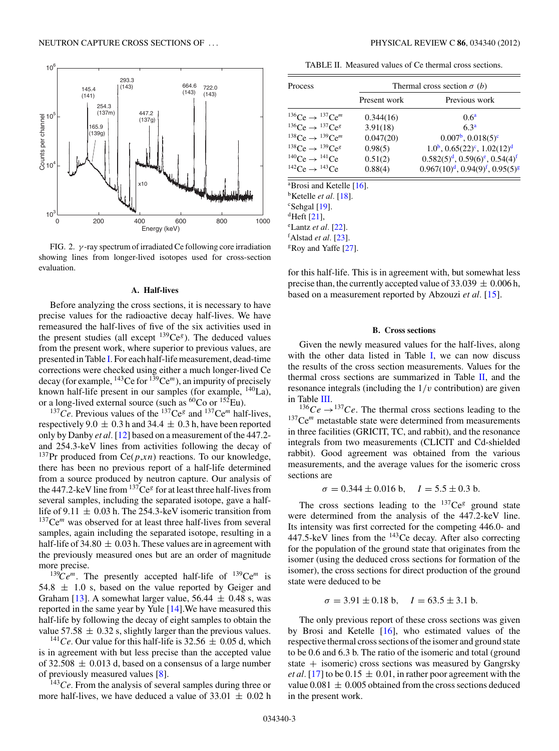<span id="page-2-0"></span>

FIG. 2. *γ* -ray spectrum of irradiated Ce following core irradiation showing lines from longer-lived isotopes used for cross-section evaluation.

### **A. Half-lives**

Before analyzing the cross sections, it is necessary to have precise values for the radioactive decay half-lives. We have remeasured the half-lives of five of the six activities used in the present studies (all except  $^{139}Ce^{g}$ ). The deduced values from the present work, where superior to previous values, are presented in Table [I.](#page-1-0) For each half-life measurement, dead-time corrections were checked using either a much longer-lived Ce decay (for example, 143Ce for 139Ce*<sup>m</sup>*), an impurity of precisely known half-life present in our samples (for example, <sup>140</sup>La), or a long-lived external source (such as  ${}^{60}Co$  or  ${}^{152}Eu$ ).

<sup>137</sup>Ce. Previous values of the <sup>137</sup>Ce<sup>g</sup> and <sup>137</sup>Ce<sup>m</sup> half-lives, respectively 9.0  $\pm$  0.3 h and 34.4  $\pm$  0.3 h, have been reported only by Danby *et al.* [\[12\]](#page-7-0) based on a measurement of the 447.2 and 254.3-keV lines from activities following the decay of <sup>137</sup>Pr produced from Ce( $p, xn$ ) reactions. To our knowledge, there has been no previous report of a half-life determined from a source produced by neutron capture. Our analysis of the  $447.2$ -keV line from  $137Ce<sup>g</sup>$  for at least three half-lives from several samples, including the separated isotope, gave a halflife of 9.11  $\pm$  0.03 h. The 254.3-keV isomeric transition from <sup>137</sup>Ce<sup>m</sup> was observed for at least three half-lives from several samples, again including the separated isotope, resulting in a half-life of 34.80  $\pm$  0.03 h. These values are in agreement with the previously measured ones but are an order of magnitude more precise.

 $139Ce<sup>m</sup>$ . The presently accepted half-life of  $139Ce<sup>m</sup>$  is  $54.8 \pm 1.0$  s, based on the value reported by Geiger and Graham [\[13\]](#page-7-0). A somewhat larger value,  $56.44 \pm 0.48$  s, was reported in the same year by Yule [\[14\]](#page-7-0).We have measured this half-life by following the decay of eight samples to obtain the value 57.58  $\pm$  0.32 s, slightly larger than the previous values.

<sup>141</sup>Ce. Our value for this half-life is 32.56  $\pm$  0.05 d, which is in agreement with but less precise than the accepted value of 32.508  $\pm$  0.013 d, based on a consensus of a large number of previously measured values [\[8\]](#page-7-0).

<sup>143</sup>*Ce*. From the analysis of several samples during three or more half-lives, we have deduced a value of  $33.01 \pm 0.02$  h

TABLE II. Measured values of Ce thermal cross sections.

| Process                                  | Thermal cross section $\sigma$ (b) |                                           |  |  |  |
|------------------------------------------|------------------------------------|-------------------------------------------|--|--|--|
|                                          | Present work                       | Previous work                             |  |  |  |
| $^{136}Ce \rightarrow ^{137}Ce^m$        | 0.344(16)                          | $0.6^a$                                   |  |  |  |
| $^{136}Ce \rightarrow ^{137}Ce^g$        | 3.91(18)                           | 6.3 <sup>a</sup>                          |  |  |  |
| $^{138}Ce \rightarrow ^{139}Ce^m$        | 0.047(20)                          | $0.007^{\rm b}$ , $0.018(5)^{\rm c}$      |  |  |  |
| $^{138}Ce \rightarrow ^{139}Ce^g$        | 0.98(5)                            | $1.0^b$ , $0.65(22)^c$ , $1.02(12)^d$     |  |  |  |
| $^{140}Ce \rightarrow ^{141}Ce$          | 0.51(2)                            | $0.582(5)^d$ , $0.59(6)^e$ , $0.54(4)^f$  |  |  |  |
| $^{142}Ce \rightarrow ^{143}Ce$          | 0.88(4)                            | $0.967(10)^d$ , $0.94(9)^f$ , $0.95(5)^g$ |  |  |  |
| <sup>a</sup> Brosi and Ketelle [16].     |                                    |                                           |  |  |  |
| <sup>b</sup> Ketelle <i>et al.</i> [18]. |                                    |                                           |  |  |  |
| $c$ Sehgal [19].                         |                                    |                                           |  |  |  |
| <sup>d</sup> Heft [21].                  |                                    |                                           |  |  |  |
| <sup>e</sup> Lantz <i>et al.</i> [22].   |                                    |                                           |  |  |  |
| <sup>f</sup> Alstad <i>et al.</i> [23].  |                                    |                                           |  |  |  |
| <sup>g</sup> Roy and Yaffe [27].         |                                    |                                           |  |  |  |

for this half-life. This is in agreement with, but somewhat less precise than, the currently accepted value of  $33.039 \pm 0.006$  h, based on a measurement reported by Abzouzi *et al.* [\[15\]](#page-7-0).

#### **B. Cross sections**

Given the newly measured values for the half-lives, along with the other data listed in Table [I,](#page-1-0) we can now discuss the results of the cross section measurements. Values for the thermal cross sections are summarized in Table  $II$ , and the resonance integrals (including the 1*/v* contribution) are given in Table [III.](#page-3-0)

 $136Ce \rightarrow 137Ce$ . The thermal cross sections leading to the <sup>137</sup>Ce<sup>m</sup> metastable state were determined from measurements in three facilities (GRICIT, TC, and rabbit), and the resonance integrals from two measurements (CLICIT and Cd-shielded rabbit). Good agreement was obtained from the various measurements, and the average values for the isomeric cross sections are

$$
\sigma = 0.344 \pm 0.016 \text{ b}, \quad I = 5.5 \pm 0.3 \text{ b}.
$$

The cross sections leading to the  $137Ce<sup>g</sup>$  ground state were determined from the analysis of the 447.2-keV line. Its intensity was first corrected for the competing 446.0- and 447.5-keV lines from the 143Ce decay. After also correcting for the population of the ground state that originates from the isomer (using the deduced cross sections for formation of the isomer), the cross sections for direct production of the ground state were deduced to be

$$
\sigma = 3.91 \pm 0.18
$$
 b,  $I = 63.5 \pm 3.1$  b.

The only previous report of these cross sections was given by Brosi and Ketelle [\[16\]](#page-7-0), who estimated values of the respective thermal cross sections of the isomer and ground state to be 0.6 and 6.3 b. The ratio of the isomeric and total (ground state  $+$  isomeric) cross sections was measured by Gangrsky *et al.* [\[17\]](#page-7-0) to be  $0.15 \pm 0.01$ , in rather poor agreement with the value  $0.081 \pm 0.005$  obtained from the cross sections deduced in the present work.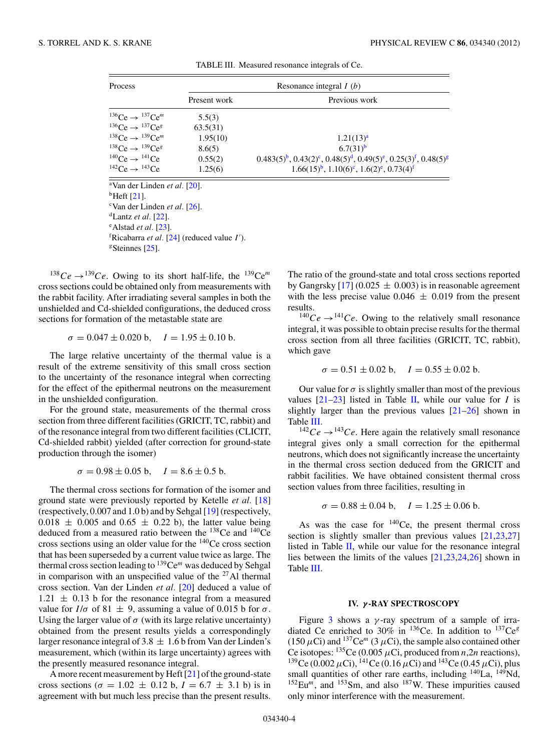<span id="page-3-0"></span>

| Process                           | Resonance integral $I(b)$ |                                                                                    |  |  |  |
|-----------------------------------|---------------------------|------------------------------------------------------------------------------------|--|--|--|
|                                   | Present work              | Previous work                                                                      |  |  |  |
| $^{136}Ce \rightarrow ^{137}Ce^m$ | 5.5(3)                    |                                                                                    |  |  |  |
| $^{136}Ce \rightarrow ^{137}Ce^g$ | 63.5(31)                  |                                                                                    |  |  |  |
| $^{138}Ce \rightarrow ^{139}Ce^m$ | 1.95(10)                  | 1.21(13) <sup>a</sup>                                                              |  |  |  |
| $^{138}Ce \rightarrow ^{139}Ce^g$ | 8.6(5)                    | $6.7(31)^b$                                                                        |  |  |  |
| $^{140}Ce \rightarrow ^{141}Ce$   | 0.55(2)                   | $0.483(5)^b$ , $0.43(2)^c$ , $0.48(5)^d$ , $0.49(5)^e$ , $0.25(3)^f$ , $0.48(5)^g$ |  |  |  |
| $^{142}Ce \rightarrow ^{143}Ce$   | 1.25(6)                   | $1.66(15)^b$ , $1.10(6)^c$ , $1.6(2)^e$ , $0.73(4)^f$                              |  |  |  |

TABLE III. Measured resonance integrals of Ce.

a Van der Linden *et al.* [\[20\]](#page-8-0).  $^{\rm b}$ Heft [\[21\]](#page-8-0). c Van der Linden *et al.* [\[26\]](#page-8-0).  $\mathrm{d}$ Lantz *et al.* [\[22\]](#page-8-0). e Alstad *et al.* [\[23\]](#page-8-0). <sup>f</sup>Ricabarra et al. [\[24\]](#page-8-0) (reduced value I').  $g\$ Steinnes [\[25\]](#page-8-0).

<sup>138</sup>Ce  $\rightarrow$ <sup>139</sup>Ce. Owing to its short half-life, the <sup>139</sup>Ce<sup>m</sup> cross sections could be obtained only from measurements with the rabbit facility. After irradiating several samples in both the unshielded and Cd-shielded configurations, the deduced cross sections for formation of the metastable state are

$$
\sigma = 0.047 \pm 0.020 \text{ b}, \quad I = 1.95 \pm 0.10 \text{ b}.
$$

The large relative uncertainty of the thermal value is a result of the extreme sensitivity of this small cross section to the uncertainty of the resonance integral when correcting for the effect of the epithermal neutrons on the measurement in the unshielded configuration.

For the ground state, measurements of the thermal cross section from three different facilities (GRICIT, TC, rabbit) and of the resonance integral from two different facilities (CLICIT, Cd-shielded rabbit) yielded (after correction for ground-state production through the isomer)

$$
\sigma = 0.98 \pm 0.05 \text{ b}, \quad I = 8.6 \pm 0.5 \text{ b}.
$$

The thermal cross sections for formation of the isomer and ground state were previously reported by Ketelle *et al.* [\[18\]](#page-8-0) (respectively, 0.007 and 1.0 b) and by Sehgal [\[19\]](#page-8-0) (respectively,  $0.018 \pm 0.005$  and  $0.65 \pm 0.22$  b), the latter value being deduced from a measured ratio between the <sup>138</sup>Ce and <sup>140</sup>Ce cross sections using an older value for the 140Ce cross section that has been superseded by a current value twice as large. The thermal cross section leading to 139Ce*<sup>m</sup>* was deduced by Sehgal in comparison with an unspecified value of the  $27$ Al thermal cross section. Van der Linden *et al.* [\[20\]](#page-8-0) deduced a value of  $1.21 \pm 0.13$  b for the resonance integral from a measured value for  $I/\sigma$  of 81  $\pm$  9, assuming a value of 0.015 b for  $\sigma$ . Using the larger value of  $\sigma$  (with its large relative uncertainty) obtained from the present results yields a correspondingly larger resonance integral of 3.8  $\pm$  1.6 b from Van der Linden's measurement, which (within its large uncertainty) agrees with the presently measured resonance integral.

A more recent measurement by Heft [\[21\]](#page-8-0) of the ground-state cross sections ( $\sigma = 1.02 \pm 0.12$  b,  $I = 6.7 \pm 3.1$  b) is in agreement with but much less precise than the present results.

The ratio of the ground-state and total cross sections reported by Gangrsky  $[17] (0.025 \pm 0.003)$  $[17] (0.025 \pm 0.003)$  is in reasonable agreement with the less precise value  $0.046 \pm 0.019$  from the present results.

 $^{140}Ce \rightarrow ^{141}Ce$ . Owing to the relatively small resonance integral, it was possible to obtain precise results for the thermal cross section from all three facilities (GRICIT, TC, rabbit), which gave

$$
\sigma = 0.51 \pm 0.02
$$
 b,  $I = 0.55 \pm 0.02$  b.

Our value for  $\sigma$  is slightly smaller than most of the previous values  $[21-23]$  listed in Table [II,](#page-2-0) while our value for *I* is slightly larger than the previous values [\[21–26\]](#page-8-0) shown in Table III.

 $142Ce \rightarrow 143Ce$ . Here again the relatively small resonance integral gives only a small correction for the epithermal neutrons, which does not significantly increase the uncertainty in the thermal cross section deduced from the GRICIT and rabbit facilities. We have obtained consistent thermal cross section values from three facilities, resulting in

$$
\sigma = 0.88 \pm 0.04
$$
 b,  $I = 1.25 \pm 0.06$  b.

As was the case for  $140$ Ce, the present thermal cross section is slightly smaller than previous values  $[21,23,27]$ listed in Table [II,](#page-2-0) while our value for the resonance integral lies between the limits of the values [\[21,23,24,26\]](#page-8-0) shown in Table III.

## **IV.** *γ* **-RAY SPECTROSCOPY**

Figure [3](#page-4-0) shows a  $\gamma$ -ray spectrum of a sample of irradiated Ce enriched to 30% in 136Ce. In addition to 137Ce*<sup>g</sup>*  $(150 \,\mu\text{Ci})$  and  $^{137}\text{Ce}^m$  (3  $\mu\text{Ci}$ ), the sample also contained other Ce isotopes:  $^{135}$ Ce (0.005  $\mu$ Ci, produced from *n*,2*n* reactions), <sup>139</sup>Ce (0.002 *μ*Ci), <sup>141</sup>Ce (0.16 *μC*i) and <sup>143</sup>Ce (0.45 *μC*i), plus small quantities of other rare earths, including <sup>140</sup>La, <sup>149</sup>Nd, <sup>152</sup>Eu<sup>m</sup>, and <sup>153</sup>Sm, and also <sup>187</sup>W. These impurities caused only minor interference with the measurement.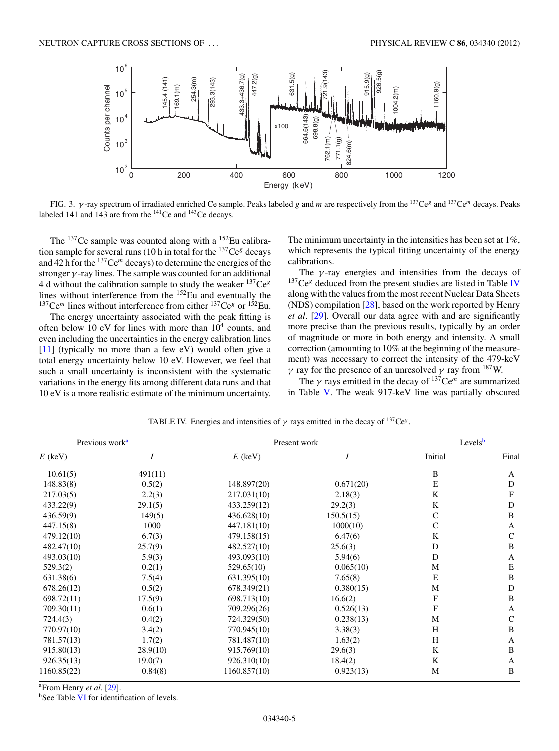<span id="page-4-0"></span>

FIG. 3. *γ* -ray spectrum of irradiated enriched Ce sample. Peaks labeled *g* and *m* are respectively from the 137Ce*<sup>g</sup>* and 137Ce*<sup>m</sup>* decays. Peaks labeled 141 and 143 are from the  $^{141}$ Ce and  $^{143}$ Ce decays.

The  $^{137}$ Ce sample was counted along with a  $^{152}$ Eu calibration sample for several runs (10 h in total for the 137Ce*<sup>g</sup>* decays and 42 h for the 137Ce*<sup>m</sup>* decays) to determine the energies of the stronger *γ* -ray lines. The sample was counted for an additional 4 d without the calibration sample to study the weaker 137Ce*<sup>g</sup>* Fu without the canonical sample is single and eventually the <sup>137</sup>Ce<sup>*m*</sup> lines without interference from either <sup>137</sup>Ce<sup>*g*</sup> or <sup>152</sup>Eu.

The energy uncertainty associated with the peak fitting is often below 10 eV for lines with more than  $10<sup>4</sup>$  counts, and even including the uncertainties in the energy calibration lines [\[11\]](#page-7-0) (typically no more than a few eV) would often give a total energy uncertainty below 10 eV. However, we feel that such a small uncertainty is inconsistent with the systematic variations in the energy fits among different data runs and that 10 eV is a more realistic estimate of the minimum uncertainty. The minimum uncertainty in the intensities has been set at 1%, which represents the typical fitting uncertainty of the energy calibrations.

The *γ* -ray energies and intensities from the decays of <sup>137</sup>Ce<sup>g</sup> deduced from the present studies are listed in Table IV along with the values from the most recent Nuclear Data Sheets (NDS) compilation [\[28\]](#page-8-0), based on the work reported by Henry *et al.* [\[29\]](#page-8-0). Overall our data agree with and are significantly more precise than the previous results, typically by an order of magnitude or more in both energy and intensity. A small correction (amounting to 10% at the beginning of the measurement) was necessary to correct the intensity of the 479-keV *γ* ray for the presence of an unresolved *γ* ray from <sup>187</sup>W.

The  $\gamma$  rays emitted in the decay of  $137^{\circ}$ Ce<sup>m</sup> are summarized in Table [V.](#page-5-0) The weak 917-keV line was partially obscured

| Previous work <sup>a</sup> |          | Present work |           | Levels <sup>b</sup> |              |
|----------------------------|----------|--------------|-----------|---------------------|--------------|
| $E$ (keV)                  |          | $E$ (keV)    | I         | Initial             | Final        |
| 10.61(5)                   | 491(11)  |              |           | B                   | A            |
| 148.83(8)                  | 0.5(2)   | 148.897(20)  | 0.671(20) | E                   | D            |
| 217.03(5)                  | 2.2(3)   | 217.031(10)  | 2.18(3)   | K                   | F            |
| 433.22(9)                  | 29.1(5)  | 433.259(12)  | 29.2(3)   | K                   | D            |
| 436.59(9)                  | 149(5)   | 436.628(10)  | 150.5(15) | C                   | B            |
| 447.15(8)                  | 1000     | 447.181(10)  | 1000(10)  | $\mathsf{C}$        | $\mathbf{A}$ |
| 479.12(10)                 | 6.7(3)   | 479.158(15)  | 6.47(6)   | K                   | $\mathsf{C}$ |
| 482.47(10)                 | 25.7(9)  | 482.527(10)  | 25.6(3)   | D                   | B            |
| 493.03(10)                 | 5.9(3)   | 493.093(10)  | 5.94(6)   | D                   | A            |
| 529.3(2)                   | 0.2(1)   | 529.65(10)   | 0.065(10) | M                   | E            |
| 631.38(6)                  | 7.5(4)   | 631.395(10)  | 7.65(8)   | E                   | B            |
| 678.26(12)                 | 0.5(2)   | 678.349(21)  | 0.380(15) | M                   | D            |
| 698.72(11)                 | 17.5(9)  | 698.713(10)  | 16.6(2)   | F                   | B            |
| 709.30(11)                 | 0.6(1)   | 709.296(26)  | 0.526(13) | F                   | A            |
| 724.4(3)                   | 0.4(2)   | 724.329(50)  | 0.238(13) | M                   | $\mathsf{C}$ |
| 770.97(10)                 | 3.4(2)   | 770.945(10)  | 3.38(3)   | H                   | B            |
| 781.57(13)                 | 1.7(2)   | 781.487(10)  | 1.63(2)   | H                   | A            |
| 915.80(13)                 | 28.9(10) | 915.769(10)  | 29.6(3)   | K                   | B            |
| 926.35(13)                 | 19.0(7)  | 926.310(10)  | 18.4(2)   | K                   | A            |
| 1160.85(22)                | 0.84(8)  | 1160.857(10) | 0.923(13) | М                   | B            |

TABLE IV. Energies and intensities of  $\gamma$  rays emitted in the decay of <sup>137</sup>Ce<sup>g</sup>.

<sup>a</sup> From Henry *et al.* [\[29\]](#page-8-0).

<sup>b</sup>See Table [VI](#page-5-0) for identification of levels.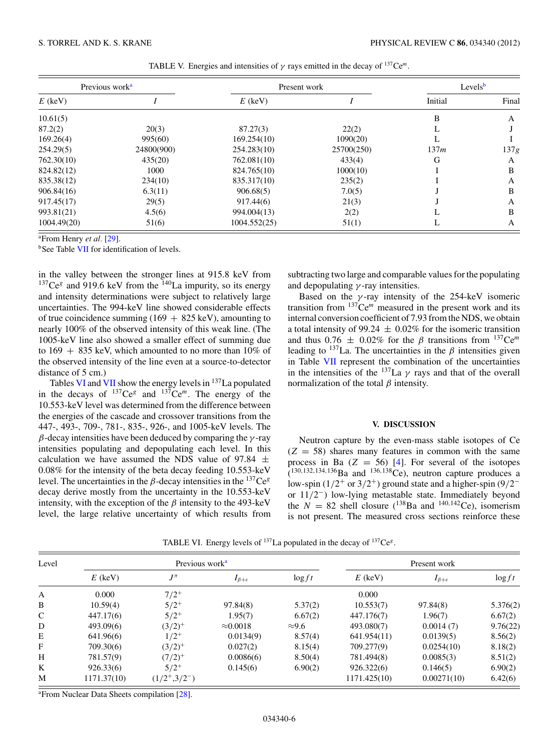<span id="page-5-0"></span>

| Previous work <sup>a</sup> |            | Present work |            | Levels $b$ |       |
|----------------------------|------------|--------------|------------|------------|-------|
| $E$ (keV)                  |            | $E$ (keV)    |            | Initial    | Final |
| 10.61(5)                   |            |              |            | B          | A     |
| 87.2(2)                    | 20(3)      | 87.27(3)     | 22(2)      | L          |       |
| 169.26(4)                  | 995(60)    | 169.254(10)  | 1090(20)   |            |       |
| 254.29(5)                  | 24800(900) | 254.283(10)  | 25700(250) | 137m       | 137g  |
| 762.30(10)                 | 435(20)    | 762.081(10)  | 433(4)     | G          | A     |
| 824.82(12)                 | 1000       | 824.765(10)  | 1000(10)   |            | B     |
| 835.38(12)                 | 234(10)    | 835.317(10)  | 235(2)     |            | A     |
| 906.84(16)                 | 6.3(11)    | 906.68(5)    | 7.0(5)     |            | B     |
| 917.45(17)                 | 29(5)      | 917.44(6)    | 21(3)      |            | А     |
| 993.81(21)                 | 4.5(6)     | 994.004(13)  | 2(2)       |            | B     |
| 1004.49(20)                | 51(6)      | 1004.552(25) | 51(1)      | L          | A     |

TABLE V. Energies and intensities of  $\gamma$  rays emitted in the decay of <sup>137</sup>Ce<sup>m</sup>.

<sup>a</sup> From Henry *et al.* [\[29\]](#page-8-0).

<sup>b</sup>See Table [VII](#page-6-0) for identification of levels.

in the valley between the stronger lines at 915.8 keV from  $137Ce<sup>g</sup>$  and 919.6 keV from the <sup>140</sup>La impurity, so its energy and intensity determinations were subject to relatively large uncertainties. The 994-keV line showed considerable effects of true coincidence summing  $(169 + 825 \text{ keV})$ , amounting to nearly 100% of the observed intensity of this weak line. (The 1005-keV line also showed a smaller effect of summing due to  $169 + 835$  keV, which amounted to no more than  $10\%$  of the observed intensity of the line even at a source-to-detector distance of 5 cm.)

Tables VI and [VII](#page-6-0) show the energy levels in  $137$  La populated in the decays of  $^{137}Ce^g$  and  $^{137}Ce^m$ . The energy of the 10.553-keV level was determined from the difference between the energies of the cascade and crossover transitions from the 447-, 493-, 709-, 781-, 835-, 926-, and 1005-keV levels. The *β*-decay intensities have been deduced by comparing the *γ* -ray intensities populating and depopulating each level. In this calculation we have assumed the NDS value of 97.84  $\pm$ 0.08% for the intensity of the beta decay feeding 10.553-keV level. The uncertainties in the *β*-decay intensities in the  $137Ce<sup>g</sup>$ decay derive mostly from the uncertainty in the 10.553-keV intensity, with the exception of the  $\beta$  intensity to the 493-keV level, the large relative uncertainty of which results from

subtracting two large and comparable values for the populating and depopulating *γ* -ray intensities.

Based on the *γ* -ray intensity of the 254-keV isomeric transition from  $137$ Ce<sup>m</sup> measured in the present work and its internal conversion coefficient of 7.93 from the NDS, we obtain a total intensity of 99.24  $\pm$  0.02% for the isomeric transition and thus  $0.76 \pm 0.02\%$  for the  $\beta$  transitions from  $^{137}Ce^{m}$ leading to  $137$ La. The uncertainties in the  $\beta$  intensities given in Table [VII](#page-6-0) represent the combination of the uncertainties in the intensities of the  $137$ La  $\gamma$  rays and that of the overall normalization of the total *β* intensity.

### **V. DISCUSSION**

Neutron capture by the even-mass stable isotopes of Ce  $(Z = 58)$  shares many features in common with the same process in Ba  $(Z = 56)$  [\[4\]](#page-7-0). For several of the isotopes  $(1^{30,132,134,136}$ Ba and  $1^{36,138}$ Ce), neutron capture produces a low-spin (1*/*2<sup>+</sup> or 3*/*2+) ground state and a higher-spin (9*/*2<sup>−</sup> or 11*/*2−) low-lying metastable state. Immediately beyond the  $N = 82$  shell closure (<sup>138</sup>Ba and <sup>140,142</sup>Ce), isomerism is not present. The measured cross sections reinforce these

| Level        |             | Previous work <sup>a</sup> |                         |               |              | Present work            |           |  |
|--------------|-------------|----------------------------|-------------------------|---------------|--------------|-------------------------|-----------|--|
|              | $E$ (keV)   | $J^{\pi}$                  | $I_{\beta+\varepsilon}$ | $\log ft$     | $E$ (keV)    | $I_{\beta+\varepsilon}$ | $\log ft$ |  |
| A            | 0.000       | $7/2^+$                    |                         |               | 0.000        |                         |           |  |
| B            | 10.59(4)    | $5/2^+$                    | 97.84(8)                | 5.37(2)       | 10.553(7)    | 97.84(8)                | 5.376(2)  |  |
| C            | 447.17(6)   | $5/2^+$                    | 1.95(7)                 | 6.67(2)       | 447.176(7)   | 1.96(7)                 | 6.67(2)   |  |
| D            | 493.09(6)   | $(3/2)^{+}$                | $\approx 0.0018$        | $\approx 9.6$ | 493.080(7)   | 0.0014(7)               | 9.76(22)  |  |
| E            | 641.96(6)   | $1/2^+$                    | 0.0134(9)               | 8.57(4)       | 641.954(11)  | 0.0139(5)               | 8.56(2)   |  |
| $\mathbf{F}$ | 709.30(6)   | $(3/2)^{+}$                | 0.027(2)                | 8.15(4)       | 709.277(9)   | 0.0254(10)              | 8.18(2)   |  |
| H            | 781.57(9)   | $(7/2)^{+}$                | 0.0086(6)               | 8.50(4)       | 781.494(8)   | 0.0085(3)               | 8.51(2)   |  |
| K            | 926.33(6)   | $5/2^{+}$                  | 0.145(6)                | 6.90(2)       | 926.322(6)   | 0.146(5)                | 6.90(2)   |  |
| M            | 1171.37(10) | $(1/2^+,3/2^-)$            |                         |               | 1171.425(10) | 0.00271(10)             | 6.42(6)   |  |

TABLE VI. Energy levels of 137La populated in the decay of 137Ce*<sup>g</sup>*.

<sup>a</sup> From Nuclear Data Sheets compilation [\[28\]](#page-8-0).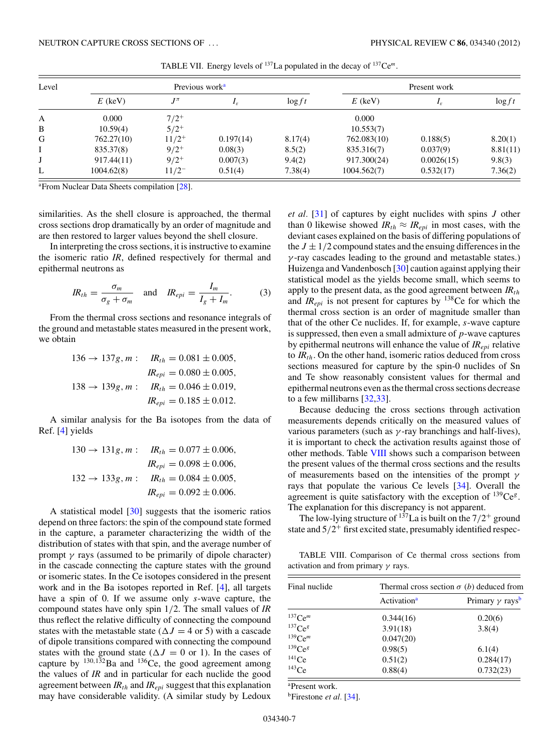<span id="page-6-0"></span>

| Level |            | Previous work <sup>a</sup> |                   |           |             | Present work      |           |  |
|-------|------------|----------------------------|-------------------|-----------|-------------|-------------------|-----------|--|
|       | $E$ (keV)  | $J^{\pi}$                  | $I_{\mathcal{E}}$ | $\log ft$ | $E$ (keV)   | $I_{\varepsilon}$ | $\log ft$ |  |
| А     | 0.000      | $7/2^+$                    |                   |           | 0.000       |                   |           |  |
| B     | 10.59(4)   | $5/2^{+}$                  |                   |           | 10.553(7)   |                   |           |  |
| G     | 762.27(10) | $11/2^+$                   | 0.197(14)         | 8.17(4)   | 762.083(10) | 0.188(5)          | 8.20(1)   |  |
|       | 835.37(8)  | $9/2^+$                    | 0.08(3)           | 8.5(2)    | 835.316(7)  | 0.037(9)          | 8.81(11)  |  |
| J     | 917.44(11) | $9/2^+$                    | 0.007(3)          | 9.4(2)    | 917.300(24) | 0.0026(15)        | 9.8(3)    |  |
| L     | 1004.62(8) | $11/2^-$                   | 0.51(4)           | 7.38(4)   | 1004.562(7) | 0.532(17)         | 7.36(2)   |  |

TABLE VII. Energy levels of 137La populated in the decay of 137Ce*<sup>m</sup>*.

<sup>a</sup> From Nuclear Data Sheets compilation [\[28\]](#page-8-0).

similarities. As the shell closure is approached, the thermal cross sections drop dramatically by an order of magnitude and are then restored to larger values beyond the shell closure.

In interpreting the cross sections, it is instructive to examine the isomeric ratio *IR*, defined respectively for thermal and epithermal neutrons as

$$
IR_{th} = \frac{\sigma_m}{\sigma_g + \sigma_m} \quad \text{and} \quad IR_{epi} = \frac{I_m}{I_g + I_m}.\tag{3}
$$

From the thermal cross sections and resonance integrals of the ground and metastable states measured in the present work, we obtain

$$
136 \rightarrow 137g, m: \t R_{th} = 0.081 \pm 0.005,
$$
  
\t
$$
IR_{epi} = 0.080 \pm 0.005,
$$
  
\t
$$
138 \rightarrow 139g, m: \t R_{th} = 0.046 \pm 0.019,
$$
  
\t
$$
IR_{epi} = 0.185 \pm 0.012.
$$

A similar analysis for the Ba isotopes from the data of Ref. [\[4\]](#page-7-0) yields

$$
130 \rightarrow 131g, m: \t\t\t R_{th} = 0.077 \pm 0.006,
$$
  
\t\t\t
$$
IR_{epi} = 0.098 \pm 0.006,
$$
  
\t\t\t
$$
132 \rightarrow 133g, m: \t\t\t R_{th} = 0.084 \pm 0.005,
$$
  
\t\t\t
$$
IR_{epi} = 0.092 \pm 0.006.
$$

A statistical model [\[30\]](#page-8-0) suggests that the isomeric ratios depend on three factors: the spin of the compound state formed in the capture, a parameter characterizing the width of the distribution of states with that spin, and the average number of prompt  $\gamma$  rays (assumed to be primarily of dipole character) in the cascade connecting the capture states with the ground or isomeric states. In the Ce isotopes considered in the present work and in the Ba isotopes reported in Ref. [\[4\]](#page-7-0), all targets have a spin of 0. If we assume only *s*-wave capture, the compound states have only spin 1*/*2. The small values of *IR* thus reflect the relative difficulty of connecting the compound states with the metastable state ( $\Delta J = 4$  or 5) with a cascade of dipole transitions compared with connecting the compound states with the ground state ( $\Delta J = 0$  or 1). In the cases of capture by  $^{130,132}$ Ba and  $^{136}$ Ce, the good agreement among the values of *IR* and in particular for each nuclide the good agreement between  $IR<sub>th</sub>$  and  $IR<sub>epi</sub>$  suggest that this explanation may have considerable validity. (A similar study by Ledoux

*et al.* [\[31\]](#page-8-0) of captures by eight nuclides with spins *J* other than 0 likewise showed  $IR<sub>th</sub> \approx IR<sub>epi</sub>$  in most cases, with the deviant cases explained on the basis of differing populations of the  $J \pm 1/2$  compound states and the ensuing differences in the *γ* -ray cascades leading to the ground and metastable states.) Huizenga and Vandenbosch [\[30\]](#page-8-0) caution against applying their statistical model as the yields become small, which seems to apply to the present data, as the good agreement between  $IR<sub>th</sub>$ and  $IR_{epi}$  is not present for captures by  $138$ Ce for which the thermal cross section is an order of magnitude smaller than that of the other Ce nuclides. If, for example, *s*-wave capture is suppressed, then even a small admixture of *p*-wave captures by epithermal neutrons will enhance the value of *IRepi* relative to  $IR<sub>th</sub>$ . On the other hand, isomeric ratios deduced from cross sections measured for capture by the spin-0 nuclides of Sn and Te show reasonably consistent values for thermal and epithermal neutrons even as the thermal cross sections decrease to a few millibarns [\[32,33\]](#page-8-0).

Because deducing the cross sections through activation measurements depends critically on the measured values of various parameters (such as *γ* -ray branchings and half-lives), it is important to check the activation results against those of other methods. Table VIII shows such a comparison between the present values of the thermal cross sections and the results of measurements based on the intensities of the prompt *γ* rays that populate the various Ce levels [\[34\]](#page-8-0). Overall the agreement is quite satisfactory with the exception of 139Ce*<sup>g</sup>*. The explanation for this discrepancy is not apparent.

The low-lying structure of  $137$ La is built on the  $7/2$ <sup>+</sup> ground state and  $5/2^+$  first excited state, presumably identified respec-

TABLE VIII. Comparison of Ce thermal cross sections from activation and from primary *γ* rays.

| Final nuclide         | Thermal cross section $\sigma$ (b) deduced from |                                    |  |  |
|-----------------------|-------------------------------------------------|------------------------------------|--|--|
|                       | Activation <sup>a</sup>                         | Primary $\gamma$ rays <sup>b</sup> |  |  |
| $137$ Ce <sup>m</sup> | 0.344(16)                                       | 0.20(6)                            |  |  |
| 137Ce <sup>g</sup>    | 3.91(18)                                        | 3.8(4)                             |  |  |
| $139$ Ce <sup>m</sup> | 0.047(20)                                       |                                    |  |  |
| 139Ce <sup>g</sup>    | 0.98(5)                                         | 6.1(4)                             |  |  |
| 141Ce                 | 0.51(2)                                         | 0.284(17)                          |  |  |
| 143Ce                 | 0.88(4)                                         | 0.732(23)                          |  |  |

a Present work.

bFirestone *et al.* [\[34\]](#page-8-0).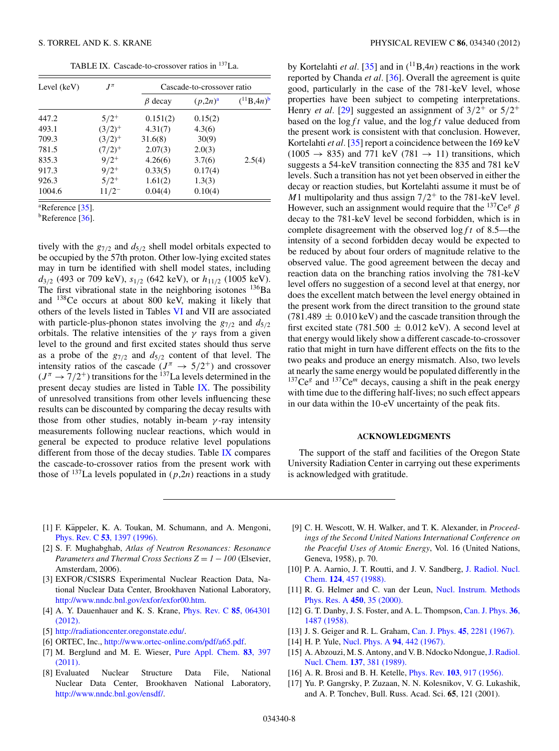TABLE IX. Cascade-to-crossover ratios in 137La.

<span id="page-7-0"></span>

| Level (keV) | $I^{\pi}$   | Cascade-to-crossover ratio |               |                  |  |
|-------------|-------------|----------------------------|---------------|------------------|--|
|             |             | $\beta$ decay              | $(p, 2n)^{a}$ | $(^{11}B, 4n)^b$ |  |
| 447.2       | $5/2^+$     | 0.151(2)                   | 0.15(2)       |                  |  |
| 493.1       | $(3/2)^{+}$ | 4.31(7)                    | 4.3(6)        |                  |  |
| 709.3       | $(3/2)^{+}$ | 31.6(8)                    | 30(9)         |                  |  |
| 781.5       | $(7/2)^{+}$ | 2.07(3)                    | 2.0(3)        |                  |  |
| 835.3       | $9/2^+$     | 4.26(6)                    | 3.7(6)        | 2.5(4)           |  |
| 917.3       | $9/2^+$     | 0.33(5)                    | 0.17(4)       |                  |  |
| 926.3       | $5/2^+$     | 1.61(2)                    | 1.3(3)        |                  |  |
| 1004.6      | $11/2^{-}$  | 0.04(4)                    | 0.10(4)       |                  |  |

<sup>a</sup>Reference [\[35\]](#page-8-0).

 $<sup>b</sup>$ Reference [\[36\]](#page-8-0).</sup>

tively with the *g*7*/*<sup>2</sup> and *d*5*/*<sup>2</sup> shell model orbitals expected to be occupied by the 57th proton. Other low-lying excited states may in turn be identified with shell model states, including *d*3*/*<sup>2</sup> (493 or 709 keV), *s*1*/*<sup>2</sup> (642 keV), or *h*11*/*<sup>2</sup> (1005 keV). The first vibrational state in the neighboring isotones  $^{136}Ba$ and 138Ce occurs at about 800 keV, making it likely that others of the levels listed in Tables [VI](#page-5-0) and VII are associated with particle-plus-phonon states involving the  $g_{7/2}$  and  $d_{5/2}$ orbitals. The relative intensities of the *γ* rays from a given level to the ground and first excited states should thus serve as a probe of the *g*7*/*<sup>2</sup> and *d*5*/*<sup>2</sup> content of that level. The intensity ratios of the cascade  $(J^{\pi} \rightarrow 5/2^+)$  and crossover  $(J^{\pi} \rightarrow 7/2^+)$  transitions for the <sup>137</sup>La levels determined in the present decay studies are listed in Table IX. The possibility of unresolved transitions from other levels influencing these results can be discounted by comparing the decay results with those from other studies, notably in-beam *γ* -ray intensity measurements following nuclear reactions, which would in general be expected to produce relative level populations different from those of the decay studies. Table IX compares the cascade-to-crossover ratios from the present work with those of  $^{137}$ La levels populated in  $(p, 2n)$  reactions in a study

by Kortelahti *et al.* [\[35\]](#page-8-0) and in  $({}^{11}B,4n)$  reactions in the work reported by Chanda *et al.* [\[36\]](#page-8-0). Overall the agreement is quite good, particularly in the case of the 781-keV level, whose properties have been subject to competing interpretations. Henry *et al.* [\[29\]](#page-8-0) suggested an assignment of  $3/2^+$  or  $5/2^+$ based on the log*f t* value, and the log*f t* value deduced from the present work is consistent with that conclusion. However, Kortelahti *et al.* [\[35\]](#page-8-0) report a coincidence between the 169 keV  $(1005 \rightarrow 835)$  and 771 keV (781  $\rightarrow$  11) transitions, which suggests a 54-keV transition connecting the 835 and 781 keV levels. Such a transition has not yet been observed in either the decay or reaction studies, but Kortelahti assume it must be of *M*1 multipolarity and thus assign 7*/*2<sup>+</sup> to the 781-keV level. However, such an assignment would require that the  $137Ce^{g} \beta$ decay to the 781-keV level be second forbidden, which is in complete disagreement with the observed log*f t* of 8.5—the intensity of a second forbidden decay would be expected to be reduced by about four orders of magnitude relative to the observed value. The good agreement between the decay and reaction data on the branching ratios involving the 781-keV level offers no suggestion of a second level at that energy, nor does the excellent match between the level energy obtained in the present work from the direct transition to the ground state  $(781.489 \pm 0.010 \,\text{keV})$  and the cascade transition through the first excited state (781.500  $\pm$  0.012 keV). A second level at that energy would likely show a different cascade-to-crossover ratio that might in turn have different effects on the fits to the two peaks and produce an energy mismatch. Also, two levels at nearly the same energy would be populated differently in the  $137Ce<sup>g</sup>$  and  $137Ce<sup>m</sup>$  decays, causing a shift in the peak energy with time due to the differing half-lives; no such effect appears in our data within the 10-eV uncertainty of the peak fits.

## **ACKNOWLEDGMENTS**

The support of the staff and facilities of the Oregon State University Radiation Center in carrying out these experiments is acknowledged with gratitude.

- [1] F. Käppeler, K. A. Toukan, M. Schumann, and A. Mengoni, Phys. Rev. C **53**[, 1397 \(1996\).](http://dx.doi.org/10.1103/PhysRevC.53.1397)
- [2] S. F. Mughabghab, *Atlas of Neutron Resonances: Resonance Parameters and Thermal Cross Sections*  $Z = 1 - 100$  *(Elsevier,* Amsterdam, 2006).
- [3] EXFOR*/*CSISRS Experimental Nuclear Reaction Data, National Nuclear Data Center, Brookhaven National Laboratory, [http://www.nndc.bnl.gov/exfor/exfor00.htm.](http://www.nndc.bnl.gov/exfor/exfor00.htm)
- [4] A. Y. Dauenhauer and K. S. Krane, [Phys. Rev. C](http://dx.doi.org/10.1103/PhysRevC.85.064301) **85**, 064301 [\(2012\).](http://dx.doi.org/10.1103/PhysRevC.85.064301)
- [5] [http://radiationcenter.oregonstate.edu/.](http://radiationcenter.oregonstate.edu/)
- [6] ORTEC, Inc., [http://www.ortec-online.com/pdf/a65.pdf.](http://www.ortec-online.com/pdf/a65.pdf)
- [7] M. Berglund and M. E. Wieser, [Pure Appl. Chem.](http://dx.doi.org/10.1351/PAC-REP-10-06-02) **83**, 397 [\(2011\).](http://dx.doi.org/10.1351/PAC-REP-10-06-02)
- [8] Evaluated Nuclear Structure Data File, National Nuclear Data Center, Brookhaven National Laboratory, [http://www.nndc.bnl.gov/ensdf/.](http://www.nndc.bnl.gov/ensdf/)
- [9] C. H. Wescott, W. H. Walker, and T. K. Alexander, in *Proceedings of the Second United Nations International Conference on the Peaceful Uses of Atomic Energy*, Vol. 16 (United Nations, Geneva, 1958), p. 70.
- [10] P. A. Aarnio, J. T. Routti, and J. V. Sandberg, [J. Radiol. Nucl.](http://dx.doi.org/10.1007/BF02041336) Chem. **124**[, 457 \(1988\).](http://dx.doi.org/10.1007/BF02041336)
- [11] R. G. Helmer and C. van der Leun, [Nucl. Instrum. Methods](http://dx.doi.org/10.1016/S0168-9002(00)00252-7) [Phys. Res. A](http://dx.doi.org/10.1016/S0168-9002(00)00252-7) **450**, 35 (2000).
- [12] G. T. Danby, J. S. Foster, and A. L. Thompson, [Can. J. Phys.](http://dx.doi.org/10.1139/p58-150) **36**, [1487 \(1958\).](http://dx.doi.org/10.1139/p58-150)
- [13] J. S. Geiger and R. L. Graham, Can. J. Phys. **45**[, 2281 \(1967\).](http://dx.doi.org/10.1139/p67-182)
- [14] H. P. Yule, [Nucl. Phys. A](http://dx.doi.org/10.1016/0375-9474(67)90015-2) **94**, 442 (1967).
- [15] A. Abzouzi, M. S. Antony, and V. B. Ndocko Ndongue, [J. Radiol.](http://dx.doi.org/10.1007/BF02162466) Nucl. Chem. **137**[, 381 \(1989\).](http://dx.doi.org/10.1007/BF02162466)
- [16] A. R. Brosi and B. H. Ketelle, Phys. Rev. **103**[, 917 \(1956\).](http://dx.doi.org/10.1103/PhysRev.103.917)
- [17] Yu. P. Gangrsky, P. Zuzaan, N. N. Kolesnikov, V. G. Lukashik, and A. P. Tonchev, Bull. Russ. Acad. Sci. **65**, 121 (2001).